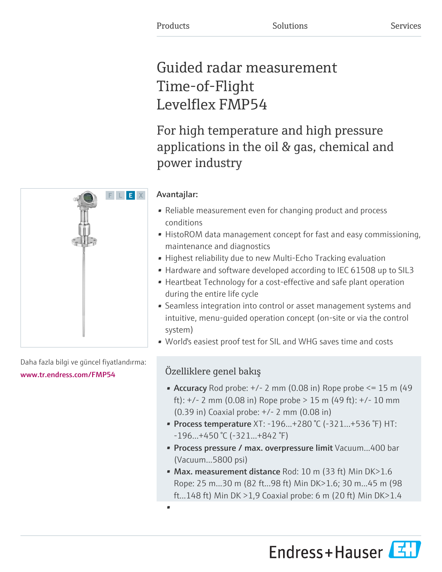# Guided radar measurement Time-of-Flight Levelflex FMP54

For high temperature and high pressure applications in the oil & gas, chemical and power industry

# Avantajlar:

- Reliable measurement even for changing product and process conditions
- HistoROM data management concept for fast and easy commissioning, maintenance and diagnostics
- Highest reliability due to new Multi-Echo Tracking evaluation
- Hardware and software developed according to IEC 61508 up to SIL3
- Heartbeat Technology for a cost-effective and safe plant operation during the entire life cycle
- Seamless integration into control or asset management systems and intuitive, menu-guided operation concept (on-site or via the control system)
- World's easiest proof test for SIL and WHG saves time and costs

# Özelliklere genel bakış

•

- Accuracy Rod probe:  $+/- 2$  mm (0.08 in) Rope probe  $\leq 15$  m (49 ft): +/- 2 mm (0.08 in) Rope probe > 15 m (49 ft): +/- 10 mm (0.39 in) Coaxial probe: +/- 2 mm (0.08 in)
- Process temperature  $XT: -196...+280$  °C (-321...+536 °F) HT: -196...+450 °C (-321...+842 °F)
- Process pressure / max. overpressure limit Vacuum...400 bar (Vacuum...5800 psi)
- Max. measurement distance Rod: 10 m (33 ft) Min DK>1.6 Rope: 25 m...30 m (82 ft...98 ft) Min DK>1.6; 30 m...45 m (98 ft...148 ft) Min DK >1,9 Coaxial probe: 6 m (20 ft) Min DK>1.4





Daha fazla bilgi ve güncel fiyatlandırma:

# [www.tr.endress.com/FMP54](https://www.tr.endress.com/FMP54)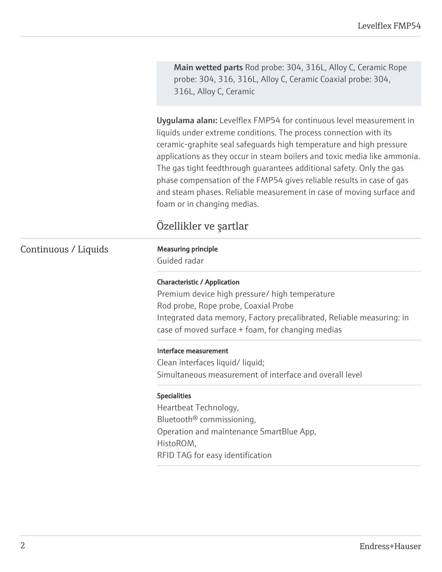Main wetted parts Rod probe: 304, 316L, Alloy C, Ceramic Rope probe: 304, 316, 316L, Alloy C, Ceramic Coaxial probe: 304, 316L, Alloy C, Ceramic

Uygulama alanı: Levelflex FMP54 for continuous level measurement in liquids under extreme conditions. The process connection with its ceramic-graphite seal safeguards high temperature and high pressure applications as they occur in steam boilers and toxic media like ammonia. The gas tight feedthrough guarantees additional safety. Only the gas phase compensation of the FMP54 gives reliable results in case of gas and steam phases. Reliable measurement in case of moving surface and foam or in changing medias.

# Özellikler ve şartlar

# Continuous / Liquids Measuring principle

Guided radar

#### Characteristic / Application

Premium device high pressure/ high temperature Rod probe, Rope probe, Coaxial Probe Integrated data memory, Factory precalibrated, Reliable measuring: in case of moved surface + foam, for changing medias

#### Interface measurement

Clean interfaces liquid/ liquid; Simultaneous measurement of interface and overall level

#### Specialities

Heartbeat Technology, Bluetooth® commissioning, Operation and maintenance SmartBlue App, HistoROM, RFID TAG for easy identification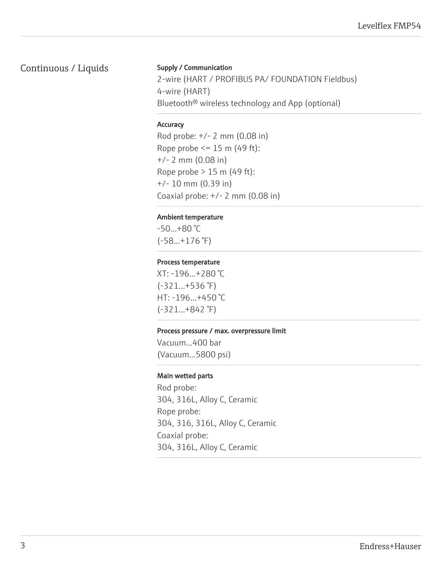# Continuous / Liquids

#### Supply / Communication

2-wire (HART / PROFIBUS PA/ FOUNDATION Fieldbus) 4-wire (HART) Bluetooth® wireless technology and App (optional)

#### **Accuracy**

Rod probe: +/- 2 mm (0.08 in) Rope probe  $\leq$  15 m (49 ft): +/- 2 mm (0.08 in) Rope probe > 15 m (49 ft): +/- 10 mm (0.39 in) Coaxial probe: +/- 2 mm (0.08 in)

#### Ambient temperature

-50...+80 °C (-58...+176 °F)

#### Process temperature

XT: -196...+280 °C (-321...+536 °F) HT: -196...+450 °C (-321...+842 °F)

#### Process pressure / max. overpressure limit

Vacuum...400 bar (Vacuum...5800 psi)

#### Main wetted parts

Rod probe: 304, 316L, Alloy C, Ceramic Rope probe: 304, 316, 316L, Alloy C, Ceramic Coaxial probe: 304, 316L, Alloy C, Ceramic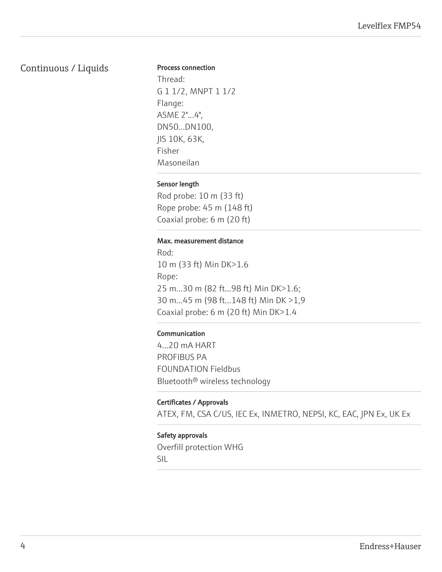## Continuous / Liquids

#### Process connection

Thread: G 1 1/2, MNPT 1 1/2 Flange: ASME 2"...4", DN50...DN100, JIS 10K, 63K, Fisher Masoneilan

#### Sensor length

Rod probe: 10 m (33 ft) Rope probe: 45 m (148 ft) Coaxial probe: 6 m (20 ft)

#### Max. measurement distance

Rod: 10 m (33 ft) Min DK>1.6 Rope: 25 m...30 m (82 ft...98 ft) Min DK>1.6; 30 m...45 m (98 ft...148 ft) Min DK >1,9 Coaxial probe: 6 m (20 ft) Min DK>1.4

#### Communication

4...20 mA HART PROFIBUS PA FOUNDATION Fieldbus Bluetooth® wireless technology

#### Certificates / Approvals

ATEX, FM, CSA C/US, IEC Ex, INMETRO, NEPSI, KC, EAC, JPN Ex, UK Ex

#### Safety approvals

Overfill protection WHG SIL